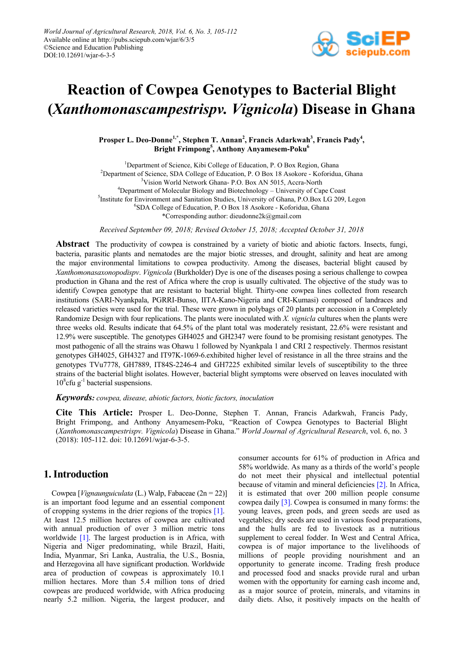

# **Reaction of Cowpea Genotypes to Bacterial Blight (***Xanthomonascampestrispv. Vignicola***) Disease in Ghana**

Prosper L. Deo-Donne<sup>1,\*</sup>, Stephen T. Annan<sup>2</sup>, Francis Adarkwah<sup>3</sup>, Francis Pady<sup>4</sup>, **Bright Frimpong<sup>5</sup> , Anthony Anyamesem-Poku<sup>6</sup>**

<sup>1</sup>Department of Science, Kibi College of Education, P. O Box Region, Ghana <sup>2</sup>Department of Science, SDA College of Education, P. O Box 18 Asokore - Koforidua, Ghana <sup>3</sup>Vision World Network Ghana- P.O. Box AN 5015, Accra-North <sup>4</sup>Department of Molecular Biology and Biotechnology – University of Cape Coast <sup>5</sup>Institute for Environment and Sanitation Studies, University of Ghana, P.O.Box LG 209, Legon 6 SDA College of Education, P. O Box 18 Asokore - Koforidua, Ghana \*Corresponding author: dieudonne2k@gmail.com

*Received September 09, 2018; Revised October 15, 2018; Accepted October 31, 2018*

**Abstract** The productivity of cowpea is constrained by a variety of biotic and abiotic factors. Insects, fungi, bacteria, parasitic plants and nematodes are the major biotic stresses, and drought, salinity and heat are among the major environmental limitations to cowpea productivity. Among the diseases, bacterial blight caused by *Xanthomonasaxonopodispv*. *Vignicola* (Burkholder) Dye is one of the diseases posing a serious challenge to cowpea production in Ghana and the rest of Africa where the crop is usually cultivated. The objective of the study was to identify Cowpea genotype that are resistant to bacterial blight. Thirty-one cowpea lines collected from research institutions (SARI-Nyankpala, PGRRI-Bunso, IITA-Kano-Nigeria and CRI-Kumasi) composed of landraces and released varieties were used for the trial. These were grown in polybags of 20 plants per accession in a Completely Randomize Design with four replications. The plants were inoculated with *X. vignicla* cultures when the plants were three weeks old. Results indicate that 64.5% of the plant total was moderately resistant, 22.6% were resistant and 12.9% were susceptible. The genotypes GH4025 and GH2347 were found to be promising resistant genotypes. The most pathogenic of all the strains was Ohawu 1 followed by Nyankpala 1 and CRI 2 respectively. Thermos resistant genotypes GH4025, GH4327 and IT97K-1069-6.exhibited higher level of resistance in all the three strains and the genotypes TVu7778, GH7889, IT84S-2246-4 and GH7225 exhibited similar levels of susceptibility to the three strains of the bacterial blight isolates. However, bacterial blight symptoms were observed on leaves inoculated with  $10^8$ cfu g<sup>-1</sup> bacterial suspensions.

#### *Keywords: cowpea, disease, abiotic factors, biotic factors, inoculation*

**Cite This Article:** Prosper L. Deo-Donne, Stephen T. Annan, Francis Adarkwah, Francis Pady, Bright Frimpong, and Anthony Anyamesem-Poku, "Reaction of Cowpea Genotypes to Bacterial Blight (*Xanthomonascampestrispv. Vignicola*) Disease in Ghana." *World Journal of Agricultural Research*, vol. 6, no. 3 (2018): 105-112. doi: 10.12691/wjar-6-3-5.

# **1. Introduction**

Cowpea [*Vignaunguiculata* (L.) Walp, Fabaceae (2n = 22)] is an important food legume and an essential component of cropping systems in the drier regions of the tropics [\[1\].](#page-6-0) At least 12.5 million hectares of cowpea are cultivated with annual production of over 3 million metric tons worldwide [\[1\].](#page-6-0) The largest production is in Africa, with Nigeria and Niger predominating, while Brazil, Haiti, India, Myanmar, Sri Lanka, Australia, the U.S., Bosnia, and Herzegovina all have significant production. Worldwide area of production of cowpeas is approximately 10.1 million hectares. More than 5.4 million tons of dried cowpeas are produced worldwide, with Africa producing nearly 5.2 million. Nigeria, the largest producer, and

consumer accounts for 61% of production in Africa and 58% worldwide. As many as a thirds of the world's people do not meet their physical and intellectual potential because of vitamin and mineral deficiencie[s \[2\].](#page-6-1) In Africa, it is estimated that over 200 million people consume cowpea dail[y \[3\].](#page-6-2) Cowpea is consumed in many forms: the young leaves, green pods, and green seeds are used as vegetables; dry seeds are used in various food preparations, and the hulls are fed to livestock as a nutritious supplement to cereal fodder. In West and Central Africa, cowpea is of major importance to the livelihoods of millions of people providing nourishment and an opportunity to generate income. Trading fresh produce and processed food and snacks provide rural and urban women with the opportunity for earning cash income and, as a major source of protein, minerals, and vitamins in daily diets. Also, it positively impacts on the health of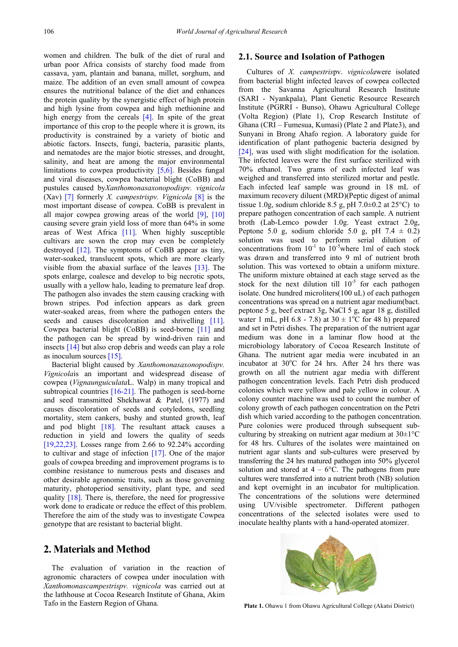women and children. The bulk of the diet of rural and urban poor Africa consists of starchy food made from cassava, yam, plantain and banana, millet, sorghum, and maize. The addition of an even small amount of cowpea ensures the nutritional balance of the diet and enhances the protein quality by the synergistic effect of high protein and high lysine from cowpea and high methionine and high energy from the cereals  $[4]$ . In spite of the great importance of this crop to the people where it is grown, its productivity is constrained by a variety of biotic and abiotic factors. Insects, fungi, bacteria, parasitic plants, and nematodes are the major biotic stresses, and drought, salinity, and heat are among the major environmental limitations to cowpea productivity [\[5,6\].](#page-6-4) Besides fungal and viral diseases, cowpea bacterial blight (CoBB) and pustules caused by*Xanthomonasaxonopodispv. vignicola* (Xav) [\[7\]](#page-6-5) formerly *X. campestrispv. Vignicola* [\[8\]](#page-6-6) is the most important disease of cowpea. CoBB is prevalent in all major cowpea growing areas of the world [\[9\],](#page-6-7) [\[10\]](#page-6-8) causing severe grain yield loss of more than 64% in some areas of West Africa [\[11\].](#page-6-9) When highly susceptible cultivars are sown the crop may even be completely destroyed [\[12\].](#page-6-10) The symptoms of CoBB appear as tiny, water-soaked, translucent spots, which are more clearly visible from the abaxial surface of the leaves [\[13\].](#page-6-11) The spots enlarge, coalesce and develop to big necrotic spots, usually with a yellow halo, leading to premature leaf drop. The pathogen also invades the stem causing cracking with brown stripes. Pod infection appears as dark green water-soaked areas, from where the pathogen enters the seeds and causes discoloration and shrivelling [\[11\].](#page-6-9) Cowpea bacterial blight (CoBB) is seed-borne [\[11\]](#page-6-9) and the pathogen can be spread by wind-driven rain and insects [\[14\]](#page-6-12) but also crop debris and weeds can play a role as inoculum sources [\[15\].](#page-6-13)

Bacterial blight caused by *Xanthomonasaxonopodispv. Vignicola*is an important and widespread disease of cowpea (*Vignaunguiculata*L. Walp) in many tropical and subtropical countries [\[16-21\].](#page-6-14) The pathogen is seed-borne and seed transmitted Shekhawat & Patel, (1977) and causes discoloration of seeds and cotyledons, seedling mortality, stem cankers, bushy and stunted growth, leaf and pod blight [\[18\].](#page-6-15) The resultant attack causes a reduction in yield and lowers the quality of seeds [\[19,22,23\].](#page-6-16) Losses range from 2.66 to 92.24% according to cultivar and stage of infection [\[17\].](#page-6-17) One of the major goals of cowpea breeding and improvement programs is to combine resistance to numerous pests and diseases and other desirable agronomic traits, such as those governing maturity, photoperiod sensitivity, plant type, and seed quality [\[18\].](#page-6-15) There is, therefore, the need for progressive work done to eradicate or reduce the effect of this problem. Therefore the aim of the study was to investigate Cowpea genotype that are resistant to bacterial blight.

## **2. Materials and Method**

The evaluation of variation in the reaction of agronomic characters of cowpea under inoculation with *Xanthomonascampestrispv. vignicola* was carried out at the lathhouse at Cocoa Research Institute of Ghana, Akim Tafo in the Eastern Region of Ghana.

#### **2.1. Source and Isolation of Pathogen**

Cultures of *X. campestris*pv. *vignicola*were isolated from bacterial blight infected leaves of cowpea collected from the Savanna Agricultural Research Institute (SARI - Nyankpala), Plant Genetic Resource Research Institute (PGRRI - Bunso), Ohawu Agricultural College (Volta Region) (Plate 1), Crop Research Institute of Ghana (CRI – Fumesua, Kumasi) (Plate 2 and Plate3), and Sunyani in Brong Ahafo region. A laboratory guide for identification of plant pathogenic bacteria designed by [\[24\],](#page-6-18) was used with slight modification for the isolation. The infected leaves were the first surface sterilized with 70% ethanol. Two grams of each infected leaf was weighed and transferred into sterilized mortar and pestle. Each infected leaf sample was ground in 18 mL of maximum recovery diluent (MRD)(Peptic digest of animal tissue 1.0g, sodium chloride 8.5 g, pH 7.0 $\pm$ 0.2 at 25 $\degree$ C) to prepare pathogen concentration of each sample. A nutrient broth (Lab-Lemco powder 1.0g. Yeast extract 2.0g, Peptone 5.0 g, sodium chloride 5.0 g, pH  $7.4 \pm 0.2$ ) solution was used to perform serial dilution of concentrations from  $10^{-1}$  to  $10^{-5}$  where 1ml of each stock was drawn and transferred into 9 ml of nutrient broth solution. This was vortexed to obtain a uniform mixture. The uniform mixture obtained at each stage served as the stock for the next dilution till  $10^{-5}$  for each pathogen isolate. One hundred microliters(100 uL) of each pathogen concentrations was spread on a nutrient agar medium(bact. peptone 5 g, beef extract 3g, NaCI 5 g, agar 18 g, distilled water 1 mL, pH 6.8 - 7.8) at  $30 \pm 1$ °C for 48 h) prepared and set in Petri dishes. The preparation of the nutrient agar medium was done in a laminar flow hood at the microbiology laboratory of Cocoa Research Institute of Ghana. The nutrient agar media were incubated in an incubator at 30°C for 24 hrs. After 24 hrs there was growth on all the nutrient agar media with different pathogen concentration levels. Each Petri dish produced colonies which were yellow and pale yellow in colour. A colony counter machine was used to count the number of colony growth of each pathogen concentration on the Petri dish which varied according to the pathogen concentration. Pure colonies were produced through subsequent subculturing by streaking on nutrient agar medium at  $30\pm1^{\circ}$ C for 48 hrs. Cultures of the isolates were maintained on nutrient agar slants and sub-cultures were preserved by transferring the 24 hrs matured pathogen into 50% glycerol solution and stored at  $4 - 6$ °C. The pathogens from pure cultures were transferred into a nutrient broth (NB) solution and kept overnight in an incubator for multiplication. The concentrations of the solutions were determined using UV/visible spectrometer. Different pathogen concentrations of the selected isolates were used to inoculate healthy plants with a hand-operated atomizer.



**Plate 1.** Ohawu 1 from Ohawu Agricultural College (Akatsi District)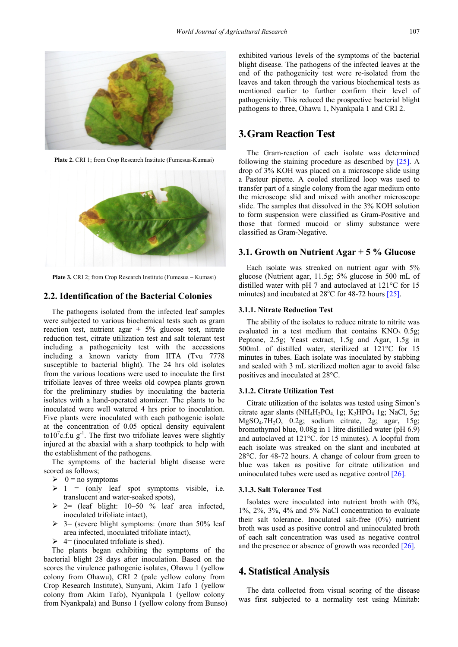

**Plate 2.** CRI 1; from Crop Research Institute (Fumesua-Kumasi)



Plate 3. CRI 2; from Crop Research Institute (Fumesua – Kumasi)

#### **2.2. Identification of the Bacterial Colonies**

The pathogens isolated from the infected leaf samples were subjected to various biochemical tests such as gram reaction test, nutrient agar  $+ 5\%$  glucose test, nitrate reduction test, citrate utilization test and salt tolerant test including a pathogenicity test with the accessions including a known variety from IITA (Tvu 7778 susceptible to bacterial blight). The 24 hrs old isolates from the various locations were used to inoculate the first trifoliate leaves of three weeks old cowpea plants grown for the preliminary studies by inoculating the bacteria isolates with a hand-operated atomizer. The plants to be inoculated were well watered 4 hrs prior to inoculation. Five plants were inoculated with each pathogenic isolate at the concentration of 0.05 optical density equivalent to10<sup>7</sup>c.f.u  $g^{-1}$ . The first two trifoliate leaves were slightly injured at the abaxial with a sharp toothpick to help with the establishment of the pathogens.

The symptoms of the bacterial blight disease were scored as follows;

- $\geq 0$  = no symptoms
- $\triangleright$  1 = (only leaf spot symptoms visible, i.e. translucent and water-soaked spots),
- $\geq$  2= (leaf blight: 10–50 % leaf area infected, inoculated trifoliate intact),
- $\geq$  3= (severe blight symptoms: (more than 50% leaf area infected, inoculated trifoliate intact),
- $\geq 4$ = (inoculated trifoliate is shed).

The plants began exhibiting the symptoms of the bacterial blight 28 days after inoculation. Based on the scores the virulence pathogenic isolates, Ohawu 1 (yellow colony from Ohawu), CRI 2 (pale yellow colony from Crop Research Institute), Sunyani, Akim Tafo 1 (yellow colony from Akim Tafo), Nyankpala 1 (yellow colony from Nyankpala) and Bunso 1 (yellow colony from Bunso) exhibited various levels of the symptoms of the bacterial blight disease. The pathogens of the infected leaves at the end of the pathogenicity test were re-isolated from the leaves and taken through the various biochemical tests as mentioned earlier to further confirm their level of pathogenicity. This reduced the prospective bacterial blight pathogens to three, Ohawu 1, Nyankpala 1 and CRI 2.

# **3.Gram Reaction Test**

The Gram-reaction of each isolate was determined following the staining procedure as described by [\[25\].](#page-6-19) A drop of 3% KOH was placed on a microscope slide using a Pasteur pipette. A cooled sterilized loop was used to transfer part of a single colony from the agar medium onto the microscope slid and mixed with another microscope slide. The samples that dissolved in the 3% KOH solution to form suspension were classified as Gram-Positive and those that formed mucoid or slimy substance were classified as Gram-Negative.

#### **3.1. Growth on Nutrient Agar + 5 % Glucose**

Each isolate was streaked on nutrient agar with 5% glucose (Nutrient agar, 11.5g; 5% glucose in 500 mL of distilled water with pH 7 and autoclaved at 121°C for 15 minutes) and incubated at 28°C for 48-72 hours [\[25\].](#page-6-19)

#### **3.1.1. Nitrate Reduction Test**

The ability of the isolates to reduce nitrate to nitrite was evaluated in a test medium that contains  $KNO<sub>3</sub> 0.5g$ ; Peptone, 2.5g; Yeast extract, 1.5g and Agar, 1.5g in 500mL of distilled water, sterilized at 121°C for 15 minutes in tubes. Each isolate was inoculated by stabbing and sealed with 3 mL sterilized molten agar to avoid false positives and inoculated at 28°C.

#### **3.1.2. Citrate Utilization Test**

Citrate utilization of the isolates was tested using Simon's citrate agar slants ( $NH_4H_2PO_4$ , 1g;  $K_2HPO_4$ , 1g; NaCl, 5g; MgSO4.7H2O, 0.2g; sodium citrate, 2g; agar, 15g; bromothymol blue, 0.08g in 1 litre distilled water (pH 6.9) and autoclaved at 121°C. for 15 minutes). A loopful from each isolate was streaked on the slant and incubated at 28°C. for 48-72 hours. A change of colour from green to blue was taken as positive for citrate utilization and uninoculated tubes were used as negative contro[l \[26\].](#page-6-20)

#### **3.1.3. Salt Tolerance Test**

Isolates were inoculated into nutrient broth with 0%, 1%, 2%, 3%, 4% and 5% NaCl concentration to evaluate their salt tolerance. Inoculated salt-free (0%) nutrient broth was used as positive control and uninoculated broth of each salt concentration was used as negative control and the presence or absence of growth was recorde[d \[26\].](#page-6-20)

## **4. Statistical Analysis**

The data collected from visual scoring of the disease was first subjected to a normality test using Minitab: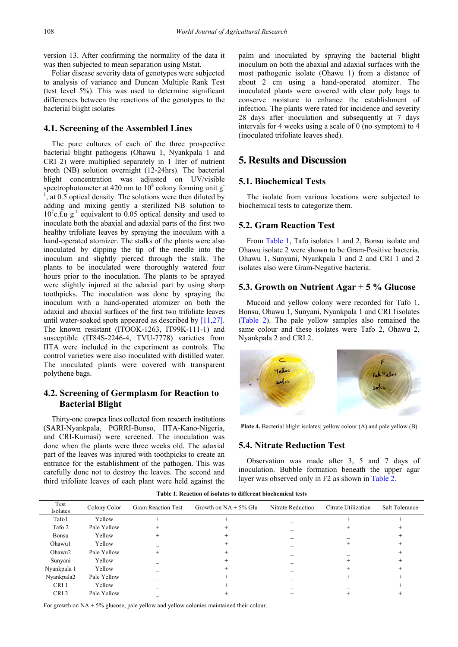version 13. After confirming the normality of the data it was then subjected to mean separation using Mstat.

Foliar disease severity data of genotypes were subjected to analysis of variance and Duncan Multiple Rank Test (test level 5%). This was used to determine significant differences between the reactions of the genotypes to the bacterial blight isolates

#### **4.1. Screening of the Assembled Lines**

The pure cultures of each of the three prospective bacterial blight pathogens (Ohawu 1, Nyankpala 1 and CRI 2) were multiplied separately in 1 liter of nutrient broth (NB) solution overnight (12-24hrs). The bacterial blight concentration was adjusted on UV/visible spectrophotometer at 420 nm to  $10^8$  colony forming unit g<sup>-</sup> 1 , at 0.5 optical density. The solutions were then diluted by adding and mixing gently a sterilized NB solution to 10<sup>7</sup>c.f.u g<sup>-1</sup> equivalent to 0.05 optical density and used to inoculate both the abaxial and adaxial parts of the first two healthy trifoliate leaves by spraying the inoculum with a hand-operated atomizer. The stalks of the plants were also inoculated by dipping the tip of the needle into the inoculum and slightly pierced through the stalk. The plants to be inoculated were thoroughly watered four hours prior to the inoculation. The plants to be sprayed were slightly injured at the adaxial part by using sharp toothpicks. The inoculation was done by spraying the inoculum with a hand-operated atomizer on both the adaxial and abaxial surfaces of the first two trifoliate leaves until water-soaked spots appeared as described by [\[11,27\].](#page-6-9) The known resistant (ITOOK-1263, IT99K-111-1) and susceptible (IT84S-2246-4, TVU-7778) varieties from IITA were included in the experiment as controls. The control varieties were also inoculated with distilled water. The inoculated plants were covered with transparent polythene bags.

## **4.2. Screening of Germplasm for Reaction to Bacterial Blight**

Thirty-one cowpea lines collected from research institutions (SARI-Nyankpala, PGRRI-Bunso, IITA-Kano-Nigeria, and CRI-Kumasi) were screened. The inoculation was done when the plants were three weeks old. The adaxial part of the leaves was injured with toothpicks to create an entrance for the establishment of the pathogen. This was carefully done not to destroy the leaves. The second and third trifoliate leaves of each plant were held against the

palm and inoculated by spraying the bacterial blight inoculum on both the abaxial and adaxial surfaces with the most pathogenic isolate (Ohawu 1) from a distance of about 2 cm using a hand-operated atomizer. The inoculated plants were covered with clear poly bags to conserve moisture to enhance the establishment of infection. The plants were rated for incidence and severity 28 days after inoculation and subsequently at 7 days intervals for 4 weeks using a scale of 0 (no symptom) to 4 (inoculated trifoliate leaves shed).

# **5. Results and Discussion**

#### **5.1. Biochemical Tests**

The isolate from various locations were subjected to biochemical tests to categorize them.

#### **5.2. Gram Reaction Test**

From [Table 1,](#page-3-0) Tafo isolates 1 and 2, Bonsu isolate and Ohawu isolate 2 were shown to be Gram-Positive bacteria. Ohawu 1, Sunyani, Nyankpala 1 and 2 and CRI 1 and 2 isolates also were Gram-Negative bacteria.

#### **5.3. Growth on Nutrient Agar + 5 % Glucose**

Mucoid and yellow colony were recorded for Tafo 1, Bonsu, Ohawu 1, Sunyani, Nyankpala 1 and CRI 1isolates [\(Table 2\)](#page-5-0). The pale yellow samples also remained the same colour and these isolates were Tafo 2, Ohawu 2, Nyankpala 2 and CRI 2.



**Plate 4.** Bacterial blight isolates; yellow colour (A) and pale yellow (B)

## **5.4. Nitrate Reduction Test**

Observation was made after 3, 5 and 7 days of inoculation. Bubble formation beneath the upper agar layer was observed only in F2 as shown i[n Table 2.](#page-5-0)

**Table 1. Reaction of isolates to different biochemical tests**

<span id="page-3-0"></span>

| Test<br>Isolates   | Colony Color | <b>Gram Reaction Test</b> | Growth on $NA + 5\%$ Glu | Nitrate Reduction | Citrate Utilization | <b>Salt Tolerance</b> |
|--------------------|--------------|---------------------------|--------------------------|-------------------|---------------------|-----------------------|
| Tafo1              | Yellow       | $^{+}$                    |                          |                   |                     |                       |
| Tafo 2             | Pale Yellow  |                           |                          |                   |                     |                       |
| Bonsu              | Yellow       |                           |                          |                   |                     |                       |
| Ohawu1             | Yellow       |                           |                          |                   |                     |                       |
| Ohawu <sub>2</sub> | Pale Yellow  |                           |                          |                   |                     |                       |
| Sunyani            | Yellow       |                           |                          |                   |                     |                       |
| Nyankpala 1        | Yellow       |                           |                          |                   |                     |                       |
| Nyankpala2         | Pale Yellow  |                           |                          |                   |                     |                       |
| CRI <sub>1</sub>   | Yellow       |                           |                          |                   |                     |                       |
| CRI <sub>2</sub>   | Pale Yellow  |                           |                          |                   |                     |                       |

For growth on  $NA + 5\%$  glucose, pale yellow and yellow colonies maintained their colour.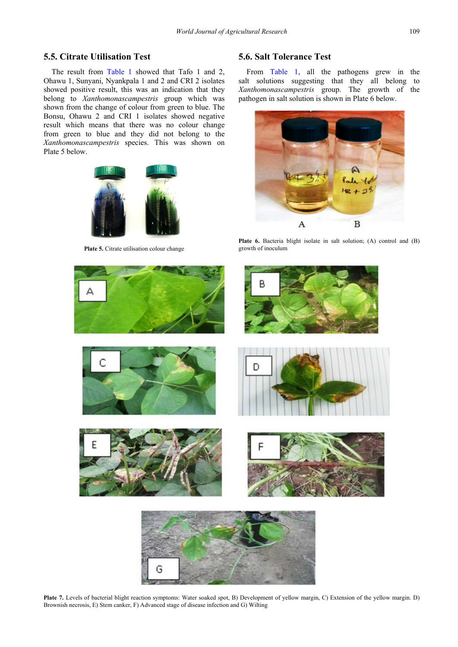## **5.5. Citrate Utilisation Test**

The result from [Table 1](#page-3-0) showed that Tafo 1 and 2, Ohawu 1, Sunyani, Nyankpala 1 and 2 and CRI 2 isolates showed positive result, this was an indication that they belong to *Xanthomonascampestris* group which was shown from the change of colour from green to blue. The Bonsu, Ohawu 2 and CRI 1 isolates showed negative result which means that there was no colour change from green to blue and they did not belong to the *Xanthomonascampestris* species. This was shown on Plate 5 below.



Plate 5. Citrate utilisation colour change

## **5.6. Salt Tolerance Test**

From [Table 1,](#page-3-0) all the pathogens grew in the salt solutions suggesting that they all belong to *Xanthomonascampestris* group. The growth of the pathogen in salt solution is shown in Plate 6 below.



Plate 6. Bacteria blight isolate in salt solution; (A) control and (B) growth of inoculum



Plate 7. Levels of bacterial blight reaction symptoms: Water soaked spot, B) Development of yellow margin, C) Extension of the yellow margin. D) Brownish necrosis, E) Stem canker, F) Advanced stage of disease infection and G) Wilting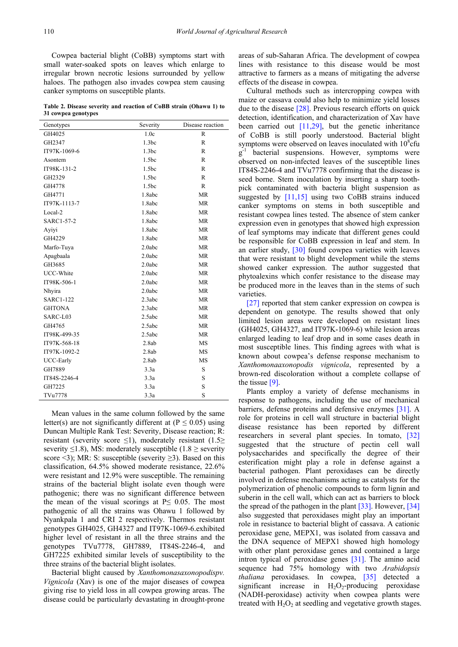Cowpea bacterial blight (CoBB) symptoms start with small water-soaked spots on leaves which enlarge to irregular brown necrotic lesions surrounded by yellow haloes. The pathogen also invades cowpea stem causing canker symptoms on susceptible plants.

**Table 2. Disease severity and reaction of CoBB strain (Ohawu 1) to 31 cowpea genotypes**

<span id="page-5-0"></span>

|                  |                   | Disease reaction |
|------------------|-------------------|------------------|
| Genotypes        | Severity          |                  |
| GH4025           | 1.0c              | R                |
| GH2347           | 1.3bc             | R                |
| IT97K-1069-6     | 1.3bc             | R                |
| Asontem          | 1.5 <sub>bc</sub> | $\mathbb{R}$     |
| IT98K-131-2      | 1.5 <sub>bc</sub> | $\mathbb{R}$     |
| GH2329           | 1.5bc             | $\mathbb{R}$     |
| GH4778           | 1.5bc             | $\mathbb{R}$     |
| GH4771           | 1.8abc            | <b>MR</b>        |
| IT97K-1113-7     | 1.8abc            | <b>MR</b>        |
| Local-2          | 1.8abc            | <b>MR</b>        |
| SARC1-57-2       | 1.8abc            | <b>MR</b>        |
| Ayiyi            | 1.8abc            | <b>MR</b>        |
| GH4229           | 1.8abc            | <b>MR</b>        |
| Marfo-Tuya       | 2.0abc            | <b>MR</b>        |
| Apagbaala        | 2.0abc            | <b>MR</b>        |
| GH3685           | 2.0abc            | <b>MR</b>        |
| UCC-White        | 2.0abc            | <b>MR</b>        |
| IT98K-506-1      | 2.0abc            | MR               |
| Nhyira           | 2.0abc            | <b>MR</b>        |
| <b>SARC1-122</b> | 2.3abc            | <b>MR</b>        |
| <b>GHTONA</b>    | 2.3abc            | <b>MR</b>        |
| SARC-L03         | 2.5abc            | <b>MR</b>        |
| GH4765           | 2.5abc            | <b>MR</b>        |
| IT98K-499-35     | 2.5abc            | <b>MR</b>        |
| IT97K-568-18     | 2.8ab             | <b>MS</b>        |
| IT97K-1092-2     | 2.8ab             | MS               |
| <b>UCC-Early</b> | 2.8ab             | <b>MS</b>        |
| GH7889           | 3.3a              | S                |
| IT84S-2246-4     | 3.3a              | S                |
| GH7225           | 3.3a              | S                |
| TVu7778          | 3.3a              | S                |

Mean values in the same column followed by the same letter(s) are not significantly different at ( $P \le 0.05$ ) using Duncan Multiple Rank Test: Severity, Disease reaction; R: resistant (severity score  $\leq$ 1), moderately resistant (1.5 $\geq$ severity  $\leq$ 1.8), MS: moderately susceptible (1.8  $\geq$  severity score  $\leq$ 3); MR: S: susceptible (severity  $\geq$ 3). Based on this classification, 64.5% showed moderate resistance, 22.6% were resistant and 12.9% were susceptible. The remaining strains of the bacterial blight isolate even though were pathogenic; there was no significant difference between the mean of the visual scorings at  $P \leq 0.05$ . The most pathogenic of all the strains was Ohawu 1 followed by Nyankpala 1 and CRI 2 respectively. Thermos resistant genotypes GH4025, GH4327 and IT97K-1069-6.exhibited higher level of resistant in all the three strains and the genotypes TVu7778, GH7889, IT84S-2246-4, and GH7225 exhibited similar levels of susceptibility to the three strains of the bacterial blight isolates.

Bacterial blight caused by *Xanthomonasaxonopodispv. Vignicola* (Xav) is one of the major diseases of cowpea giving rise to yield loss in all cowpea growing areas. The disease could be particularly devastating in drought-prone

areas of sub-Saharan Africa. The development of cowpea lines with resistance to this disease would be most attractive to farmers as a means of mitigating the adverse effects of the disease in cowpea.

Cultural methods such as intercropping cowpea with maize or cassava could also help to minimize yield losses due to the disease [\[28\].](#page-6-21) Previous research efforts on quick detection, identification, and characterization of Xav have been carried out  $[11,29]$ , but the genetic inheritance of CoBB is still poorly understood. Bacterial blight symptoms were observed on leaves inoculated with  $10<sup>8</sup>$ cfu g-1 bacterial suspensions. However, symptoms were observed on non-infected leaves of the susceptible lines IT84S-2246-4 and TVu7778 confirming that the disease is seed borne. Stem inoculation by inserting a sharp toothpick contaminated with bacteria blight suspension as suggested by [\[11,15\]](#page-6-9) using two CoBB strains induced canker symptoms on stems in both susceptible and resistant cowpea lines tested. The absence of stem canker expression even in genotypes that showed high expression of leaf symptoms may indicate that different genes could be responsible for CoBB expression in leaf and stem. In an earlier study, [\[30\]](#page-6-22) found cowpea varieties with leaves that were resistant to blight development while the stems showed canker expression. The author suggested that phytoalexins which confer resistance to the disease may be produced more in the leaves than in the stems of such varieties.

[\[27\]](#page-6-23) reported that stem canker expression on cowpea is dependent on genotype. The results showed that only limited lesion areas were developed on resistant lines (GH4025, GH4327, and IT97K-1069-6) while lesion areas enlarged leading to leaf drop and in some cases death in most susceptible lines. This finding agrees with what is known about cowpea's defense response mechanism to *Xanthomonaaxonopodis vignicola*, represented by a brown-red discoloration without a complete collapse of the tissue [\[9\].](#page-6-7)

Plants employ a variety of defense mechanisms in response to pathogens, including the use of mechanical barriers, defense proteins and defensive enzymes [\[31\].](#page-7-0) A role for proteins in cell wall structure in bacterial blight disease resistance has been reported by different researchers in several plant species. In tomato, [\[32\]](#page-7-1) suggested that the structure of pectin cell wall polysaccharides and specifically the degree of their esterification might play a role in defense against a bacterial pathogen. Plant peroxidases can be directly involved in defense mechanisms acting as catalysts for the polymerization of phenolic compounds to form lignin and suberin in the cell wall, which can act as barriers to block the spread of the pathogen in the plan[t \[33\].](#page-7-2) However, [\[34\]](#page-7-3) also suggested that peroxidases might play an important role in resistance to bacterial blight of cassava. A cationic peroxidase gene, MEPX1, was isolated from cassava and the DNA sequence of MEPX1 showed high homology with other plant peroxidase genes and contained a large intron typical of peroxidase genes [\[31\].](#page-7-0) The amino acid sequence had 75% homology with two *Arabidopsis thaliana* peroxidases. In cowpea, [\[35\]](#page-7-4) detected a significant increase in  $H_2O_2$ -producing peroxidase (NADH-peroxidase) activity when cowpea plants were treated with  $H_2O_2$  at seedling and vegetative growth stages.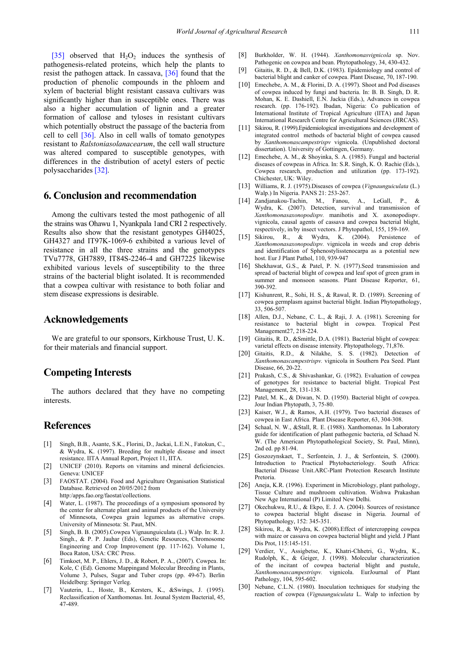[\[35\]](#page-7-4) observed that  $H_2O_2$  induces the synthesis of pathogenesis-related proteins, which help the plants to resist the pathogen attack. In cassava, [\[36\]](#page-7-5) found that the production of phenolic compounds in the phloem and xylem of bacterial blight resistant cassava cultivars was significantly higher than in susceptible ones. There was also a higher accumulation of lignin and a greater formation of callose and tyloses in resistant cultivars which potentially obstruct the passage of the bacteria from cell to cell [\[36\].](#page-7-5) Also in cell walls of tomato genotypes resistant to *Ralstoniasolanacearum*, the cell wall structure was altered compared to susceptible genotypes, with differences in the distribution of acetyl esters of pectic polysaccharides [\[32\].](#page-7-1)

## **6. Conclusion and recommendation**

Among the cultivars tested the most pathogenic of all the strains was Ohawu 1, Nyankpala 1and CRI 2 respectively. Results also show that the resistant genotypes GH4025, GH4327 and IT97K-1069-6 exhibited a various level of resistance in all the three strains and the genotypes TVu7778, GH7889, IT84S-2246-4 and GH7225 likewise exhibited various levels of susceptibility to the three strains of the bacterial blight isolated. It is recommended that a cowpea cultivar with resistance to both foliar and stem disease expressions is desirable.

#### **Acknowledgements**

We are grateful to our sponsors, Kirkhouse Trust, U. K. for their materials and financial support.

## **Competing Interests**

The authors declared that they have no competing interests.

# **References**

- <span id="page-6-0"></span>[1] Singh, B.B., Asante, S.K., Florini, D., Jackai, L.E.N., Fatokun, C., & Wydra, K. (1997). Breeding for multiple disease and insect resistance. IITA Annual Report, Project 11, IITA.
- <span id="page-6-1"></span>[2] UNICEF (2010). Reports on vitamins and mineral deficiencies. Geneva: UNICEF
- <span id="page-6-2"></span>[3] FAOSTAT. (2004). Food and Agriculture Organisation Statistical Database. Retrieved on 20/05/2012 from http:/apps.fao.org/faostat/collections.
- <span id="page-6-3"></span>[4] Water, L. (1987). The proceedings of a symposium sponsored by the center for alternate plant and animal products of the University of Minnesota, Cowpea grain legumes as alternative crops. University of Minnesota: St. Paut, MN.
- <span id="page-6-4"></span>[5] Singh, B. B. (2005).Cowpea Vignaunguiculata (L.) Walp. In: R. J. Singh., & P. P. Jauhar (Eds), Genetic Resources, Chromosome Engineering and Crop Improvement (pp. 117-162). Volume 1, Boca Raton, USA: CRC Press.
- [6] Timkoet, M. P., Ehlers, J. D., & Robert, P. A., (2007). Cowpea. In: Kole, C (Ed). Genome Mappingand Molecular Breeding in Plants, Volume 3, Pulses, Sugar and Tuber crops (pp. 49-67). Berlin Heidelberg: Springer Verleg.
- <span id="page-6-5"></span>Vauterin, L., Hoste, B., Kersters, K., &Swings, J. (1995). Reclassification of Xanthomonas. Int. Jounal System Bacterial, 45, 47-489.
- <span id="page-6-6"></span>[8] Burkholder, W. H. (1944). *Xanthomonasvignicola* sp. Nov. Pathogenic on cowpea and bean. Phytopathology, 34, 430-432.
- <span id="page-6-7"></span>[9] Gitaitis, R. D., & Bell, D.K. (1983). Epidemiology and control of bacterial blight and canker of cowpea. Plant Disease, 70, 187-190.
- <span id="page-6-8"></span>[10] Emechebe, A. M., & Florini, D. A. (1997). Shoot and Pod diseases of cowpea induced by fungi and bacteria. In: B. B. Singh, D. R. Mohan, K. E. Dashiell, E.N. Jackia (Eds.), Advances in cowpea research. (pp. 176-192). Ibadan, Nigeria: Co publication of International Institute of Tropical Agriculture (IITA) and Japan International Research Centre for Agricultural Sciences (JIRCAS).
- <span id="page-6-9"></span>[11] Sikirou, R. (1999). Epidemiological investigations and development of integrated control methods of bacterial blight of cowpea caused by *Xanthomonascampestrispv* vignicola. (Unpublished doctoral dissertation). University of Gottingen, Germany.
- <span id="page-6-10"></span>[12] Emechebe, A. M., & Shoyinka, S. A. (1985). Fungal and bacterial diseases of cowpeas in Africa. In: S.R. Singh, K. O. Rachie (Eds.), Cowpea research, production and utilization (pp. 173-192). Chichester, UK: Wiley.
- <span id="page-6-11"></span>[13] Williams, R. J. (1975).Diseases of cowpea (*Vignaunguiculata* (L.) Walp.) In Nigeria. PANS 21: 253-267.
- <span id="page-6-12"></span>[14] Zandjanakou-Tachin, M., Fanou, A., LeGall, P., & Wydra, K. (2007). Detection, survival and transmission of *Xanthomonasaxonopodispv.* manihotis and X. axonopodispv. vignicola, causal agents of cassava and cowpea bacterial blight, respectively, in/by insect vectors. J Phytopathol, 155, 159-169.
- <span id="page-6-13"></span>[15] Sikirou, R., & Wydra, K. (2004). Persistence of *Xanthomonasaxonopodispv.* vignicola in weeds and crop debris and identification of Sphenostylisstenocarpa as a potential new host. Eur J Plant Pathol, 110, 939-947
- <span id="page-6-14"></span>[16] Shekhawat, G.S., & Patel, P. N. (1977).Seed transmission and spread of bacterial blight of cowpea and leaf spot of green gram in summer and monsoon seasons. Plant Disease Reporter, 61, 390-392.
- <span id="page-6-17"></span>[17] Kishunrent, R., Sohi, H. S., & Rawal, R. D. (1989). Screening of cowpea germplasm against bacterial blight. Indian Phytopathology, 33, 506-507.
- <span id="page-6-15"></span>[18] Allen, D.J., Nebane, C. L., & Raji, J. A. (1981). Screening for resistance to bacterial blight in cowpea. Tropical Pest Management27, 218-224.
- <span id="page-6-16"></span>[19] Gitaitis, R. D., &Smittle, D.A. (1981). Bacterial blight of cowpea: varietal effects on disease intensity. Phytopathology, 71,876.
- [20] Gitaitis, R.D., & Nilakhe, S. S. (1982). Detection of *Xanthomonascampestrispv.* vignicola in Southern Pea Seed. Plant Disease, 66, 20-22.
- [21] Prakash, C.S., & Shivashankar, G. (1982). Evaluation of cowpea of genotypes for resistance to bacterial blight. Tropical Pest Management, 28, 131-138.
- [22] Patel, M. K., & Diwan, N. D. (1950). Bacterial blight of cowpea. Jour Indian Phytopath, 3, 75-80.
- [23] Kaiser, W.J., & Ramos, A.H. (1979). Two bacterial diseases of cowpea in East Africa. Plant Disease Reporter, 63, 304-308.
- <span id="page-6-18"></span>[24] Schaal, N. W., &Stall, R. E. (1988). Xanthomonas. In Laboratory guide for identification of plant pathogenic bacteria, ed Schaad N. W. (The American Phytopathological Society, St. Paul, Minn), 2nd ed. pp 81-94.
- <span id="page-6-19"></span>[25] Goszozynskaet, T., Serfontein, J. J., & Serfontein, S. (2000). Introduction to Practical Phytobacteriology. South Africa: Bacterial Disease Unit.ARC-Plant Protection Research Institute Pretoria.
- <span id="page-6-20"></span>[26] Aneja, K.R. (1996). Experiment in Microbiology, plant pathology, Tissue Culture and mushroom cultivation. Wishwa Prakashan New Age International (P) Limited New Delhi.
- <span id="page-6-23"></span>[27] Okechukwu, R.U., & Ekpo, E. J. A. (2004). Sources of resistance to cowpea bacterial blight disease in Nigeria. Journal of Phytopathology, 152: 345-351.
- <span id="page-6-21"></span>[28] Sikirou, R., & Wydra, K. (2008).Effect of intercropping cowpea with maize or cassava on cowpea bacterial blight and yield. J Plant Dis Prot, 115:145-151.
- [29] Verdier, V., Assigbetse, K., Khatri-Chhetri, G., Wydra, K., Rudolph, K., & Geiger, J. (1998). Molecular characterization of the incitant of cowpea bacterial blight and pustule, *Xanthomonascampestrispv.* vignicola. EurJournal of Plant Pathology, 104, 595-602.
- <span id="page-6-22"></span>[30] Nebane, C.L.N. (1980). Inoculation techniques for studying the reaction of cowpea (*Vignaunguiculata* L. Walp to infection by